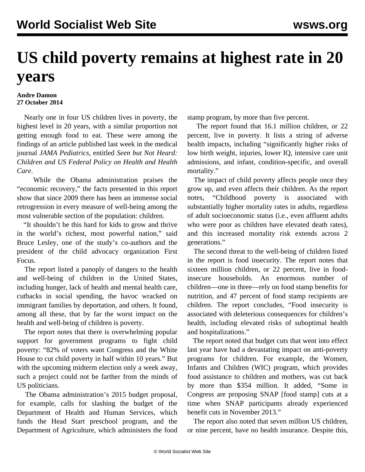## **US child poverty remains at highest rate in 20 years**

## **Andre Damon 27 October 2014**

 Nearly one in four US children lives in poverty, the highest level in 20 years, with a similar proportion not getting enough food to eat. These were among the findings of an article published last week in the medical journal *JAMA Pediatrics*, entitled *Seen but Not Heard: Children and US Federal Policy on Health and Health Care*.

 While the Obama administration praises the "economic recovery," the facts presented in this report show that since 2009 there has been an immense social retrogression in every measure of well-being among the most vulnerable section of the population: children.

 "It shouldn't be this hard for kids to grow and thrive in the world's richest, most powerful nation," said Bruce Lesley, one of the study's co-authors and the president of the child advocacy organization First Focus.

 The report listed a panoply of dangers to the health and well-being of children in the United States, including hunger, lack of health and mental health care, cutbacks in social spending, the havoc wracked on immigrant families by deportation, and others. It found, among all these, that by far the worst impact on the health and well-being of children is poverty.

 The report notes that there is overwhelming popular support for government programs to fight child poverty: "82% of voters want Congress and the White House to cut child poverty in half within 10 years." But with the upcoming midterm election only a week away, such a project could not be farther from the minds of US politicians.

 The Obama administration's 2015 budget proposal, for example, calls for slashing the budget of the Department of Health and Human Services, which funds the Head Start preschool program, and the Department of Agriculture, which administers the food stamp program, by more than five percent.

 The report found that 16.1 million children, or 22 percent, live in poverty. It lists a string of adverse health impacts, including "significantly higher risks of low birth weight, injuries, lower IQ, intensive care unit admissions, and infant, condition-specific, and overall mortality."

 The impact of child poverty affects people once they grow up, and even affects their children. As the report notes, "Childhood poverty is associated with substantially higher mortality rates in adults, regardless of adult socioeconomic status (i.e., even affluent adults who were poor as children have elevated death rates), and this increased mortality risk extends across 2 generations."

 The second threat to the well-being of children listed in the report is food insecurity. The report notes that sixteen million children, or 22 percent, live in foodinsecure households. An enormous number of children—one in three—rely on food stamp benefits for nutrition, and 47 percent of food stamp recipients are children. The report concludes, "Food insecurity is associated with deleterious consequences for children's health, including elevated risks of suboptimal health and hospitalizations."

 The report noted that budget cuts that went into effect last year have had a devastating impact on anti-poverty programs for children. For example, the Women, Infants and Children (WIC) program, which provides food assistance to children and mothers, was cut back by more than \$354 million. It added, "Some in Congress are proposing SNAP [food stamp] cuts at a time when SNAP participants already experienced benefit cuts in November 2013."

 The report also noted that seven million US children, or nine percent, have no health insurance. Despite this,